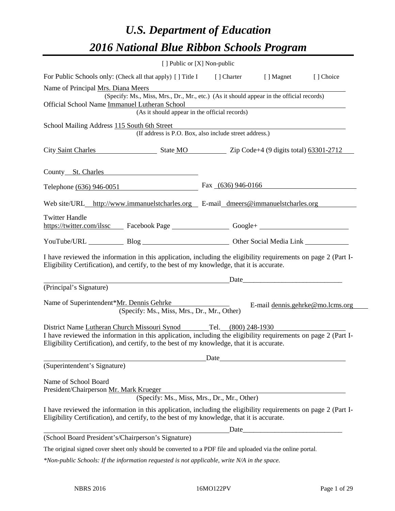# *U.S. Department of Education 2016 National Blue Ribbon Schools Program*

| [ ] Public or [X] Non-public                                                                                                                                                                                 |                      |  |                                  |  |
|--------------------------------------------------------------------------------------------------------------------------------------------------------------------------------------------------------------|----------------------|--|----------------------------------|--|
| For Public Schools only: (Check all that apply) [] Title I [] Charter [] Magnet                                                                                                                              |                      |  | [] Choice                        |  |
| Name of Principal Mrs. Diana Meers                                                                                                                                                                           |                      |  |                                  |  |
| (Specify: Ms., Miss, Mrs., Dr., Mr., etc.) (As it should appear in the official records)<br>Official School Name Immanuel Lutheran School                                                                    |                      |  |                                  |  |
| (As it should appear in the official records)                                                                                                                                                                |                      |  |                                  |  |
| School Mailing Address 115 South 6th Street                                                                                                                                                                  |                      |  |                                  |  |
| (If address is P.O. Box, also include street address.)                                                                                                                                                       |                      |  |                                  |  |
| City Saint Charles State MO Zip Code+4 (9 digits total) 63301-2712                                                                                                                                           |                      |  |                                  |  |
| County St. Charles                                                                                                                                                                                           |                      |  |                                  |  |
| Telephone (636) 946-0051                                                                                                                                                                                     | Fax $(636)$ 946-0166 |  |                                  |  |
| Web site/URL_http://www.immanuelstcharles.org E-mail_dmeers@immanuelstcharles.org                                                                                                                            |                      |  |                                  |  |
| <b>Twitter Handle</b><br>https://twitter.com/ilssc Facebook Page Google+ Google+                                                                                                                             |                      |  |                                  |  |
| YouTube/URL Blog Blog Dther Social Media Link                                                                                                                                                                |                      |  |                                  |  |
| I have reviewed the information in this application, including the eligibility requirements on page 2 (Part I-<br>Eligibility Certification), and certify, to the best of my knowledge, that it is accurate. |                      |  |                                  |  |
| <u>Date</u> <u>Date</u> <u>Date</u> <u>Date</u>                                                                                                                                                              |                      |  |                                  |  |
| (Principal's Signature)                                                                                                                                                                                      |                      |  |                                  |  |
| Name of Superintendent*Mr. Dennis Gehrke<br>(Specify: Ms., Miss, Mrs., Dr., Mr., Other)                                                                                                                      |                      |  | E-mail dennis.gehrke@mo.lcms.org |  |
| District Name Lutheran Church Missouri Synod Tel. (800) 248-1930                                                                                                                                             |                      |  |                                  |  |
| I have reviewed the information in this application, including the eligibility requirements on page 2 (Part I-<br>Eligibility Certification), and certify, to the best of my knowledge, that it is accurate. |                      |  |                                  |  |
|                                                                                                                                                                                                              | Date                 |  |                                  |  |
| (Superintendent's Signature)                                                                                                                                                                                 |                      |  |                                  |  |
| Name of School Board<br>President/Chairperson Mr. Mark Krueger<br>(Specify: Ms., Miss, Mrs., Dr., Mr., Other)                                                                                                |                      |  |                                  |  |
| I have reviewed the information in this application, including the eligibility requirements on page 2 (Part I-<br>Eligibility Certification), and certify, to the best of my knowledge, that it is accurate. |                      |  |                                  |  |
|                                                                                                                                                                                                              | Date                 |  |                                  |  |
| (School Board President's/Chairperson's Signature)                                                                                                                                                           |                      |  |                                  |  |
| The original signed cover sheet only should be converted to a PDF file and uploaded via the online portal.                                                                                                   |                      |  |                                  |  |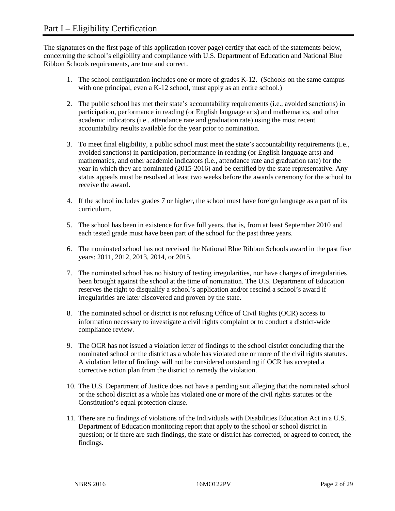The signatures on the first page of this application (cover page) certify that each of the statements below, concerning the school's eligibility and compliance with U.S. Department of Education and National Blue Ribbon Schools requirements, are true and correct.

- 1. The school configuration includes one or more of grades K-12. (Schools on the same campus with one principal, even a K-12 school, must apply as an entire school.)
- 2. The public school has met their state's accountability requirements (i.e., avoided sanctions) in participation, performance in reading (or English language arts) and mathematics, and other academic indicators (i.e., attendance rate and graduation rate) using the most recent accountability results available for the year prior to nomination.
- 3. To meet final eligibility, a public school must meet the state's accountability requirements (i.e., avoided sanctions) in participation, performance in reading (or English language arts) and mathematics, and other academic indicators (i.e., attendance rate and graduation rate) for the year in which they are nominated (2015-2016) and be certified by the state representative. Any status appeals must be resolved at least two weeks before the awards ceremony for the school to receive the award.
- 4. If the school includes grades 7 or higher, the school must have foreign language as a part of its curriculum.
- 5. The school has been in existence for five full years, that is, from at least September 2010 and each tested grade must have been part of the school for the past three years.
- 6. The nominated school has not received the National Blue Ribbon Schools award in the past five years: 2011, 2012, 2013, 2014, or 2015.
- 7. The nominated school has no history of testing irregularities, nor have charges of irregularities been brought against the school at the time of nomination. The U.S. Department of Education reserves the right to disqualify a school's application and/or rescind a school's award if irregularities are later discovered and proven by the state.
- 8. The nominated school or district is not refusing Office of Civil Rights (OCR) access to information necessary to investigate a civil rights complaint or to conduct a district-wide compliance review.
- 9. The OCR has not issued a violation letter of findings to the school district concluding that the nominated school or the district as a whole has violated one or more of the civil rights statutes. A violation letter of findings will not be considered outstanding if OCR has accepted a corrective action plan from the district to remedy the violation.
- 10. The U.S. Department of Justice does not have a pending suit alleging that the nominated school or the school district as a whole has violated one or more of the civil rights statutes or the Constitution's equal protection clause.
- 11. There are no findings of violations of the Individuals with Disabilities Education Act in a U.S. Department of Education monitoring report that apply to the school or school district in question; or if there are such findings, the state or district has corrected, or agreed to correct, the findings.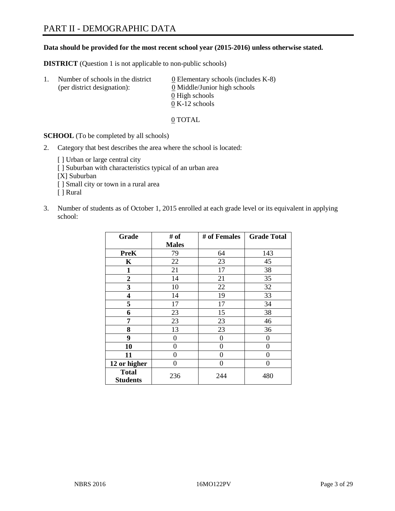#### **Data should be provided for the most recent school year (2015-2016) unless otherwise stated.**

**DISTRICT** (Question 1 is not applicable to non-public schools)

| $\mathbf{L}$ | Number of schools in the district<br>(per district designation): | $\underline{0}$ Elementary schools (includes K-8)<br>0 Middle/Junior high schools |
|--------------|------------------------------------------------------------------|-----------------------------------------------------------------------------------|
|              |                                                                  | 0 High schools                                                                    |
|              |                                                                  | $0 K-12$ schools                                                                  |

0 TOTAL

**SCHOOL** (To be completed by all schools)

- 2. Category that best describes the area where the school is located:
	- [] Urban or large central city [ ] Suburban with characteristics typical of an urban area [X] Suburban [ ] Small city or town in a rural area [ ] Rural
- 3. Number of students as of October 1, 2015 enrolled at each grade level or its equivalent in applying school:

| Grade                           | # of         | # of Females | <b>Grade Total</b> |
|---------------------------------|--------------|--------------|--------------------|
|                                 | <b>Males</b> |              |                    |
| <b>PreK</b>                     | 79           | 64           | 143                |
| K                               | 22           | 23           | 45                 |
| 1                               | 21           | 17           | 38                 |
| $\overline{2}$                  | 14           | 21           | 35                 |
| 3                               | 10           | 22           | 32                 |
| 4                               | 14           | 19           | 33                 |
| 5                               | 17           | 17           | 34                 |
| 6                               | 23           | 15           | 38                 |
| 7                               | 23           | 23           | 46                 |
| 8                               | 13           | 23           | 36                 |
| 9                               | 0            | $\theta$     | 0                  |
| 10                              | 0            | 0            | 0                  |
| 11                              | $\theta$     | 0            | $\theta$           |
| 12 or higher                    | $\theta$     | 0            | 0                  |
| <b>Total</b><br><b>Students</b> | 236          | 244          | 480                |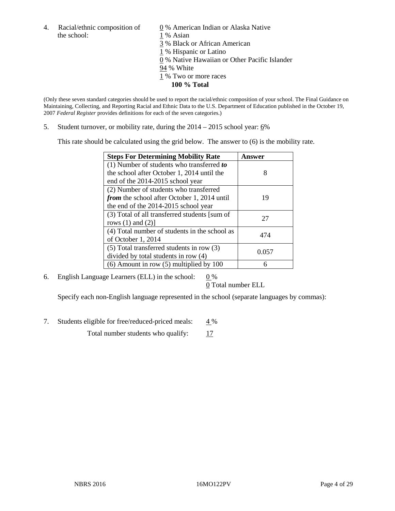4. Racial/ethnic composition of  $\qquad 0\%$  American Indian or Alaska Native the school: 1 % Asian

 % Black or African American % Hispanic or Latino % Native Hawaiian or Other Pacific Islander 94 % White % Two or more races **100 % Total**

(Only these seven standard categories should be used to report the racial/ethnic composition of your school. The Final Guidance on Maintaining, Collecting, and Reporting Racial and Ethnic Data to the U.S. Department of Education published in the October 19, 2007 *Federal Register* provides definitions for each of the seven categories.)

5. Student turnover, or mobility rate, during the  $2014 - 2015$  school year:  $6\%$ 

This rate should be calculated using the grid below. The answer to (6) is the mobility rate.

| <b>Steps For Determining Mobility Rate</b>         | Answer |
|----------------------------------------------------|--------|
| (1) Number of students who transferred to          |        |
| the school after October 1, 2014 until the         | 8      |
| end of the 2014-2015 school year                   |        |
| (2) Number of students who transferred             |        |
| <i>from</i> the school after October 1, 2014 until | 19     |
| the end of the 2014-2015 school year               |        |
| (3) Total of all transferred students [sum of      | 27     |
| rows $(1)$ and $(2)$ ]                             |        |
| (4) Total number of students in the school as      | 474    |
| of October 1, 2014                                 |        |
| $(5)$ Total transferred students in row $(3)$      | 0.057  |
| divided by total students in row (4)               |        |
| $(6)$ Amount in row $(5)$ multiplied by 100        | 6      |

6. English Language Learners (ELL) in the school:  $0\%$ 

0 Total number ELL

Specify each non-English language represented in the school (separate languages by commas):

7. Students eligible for free/reduced-priced meals:  $4\%$ 

Total number students who qualify: 17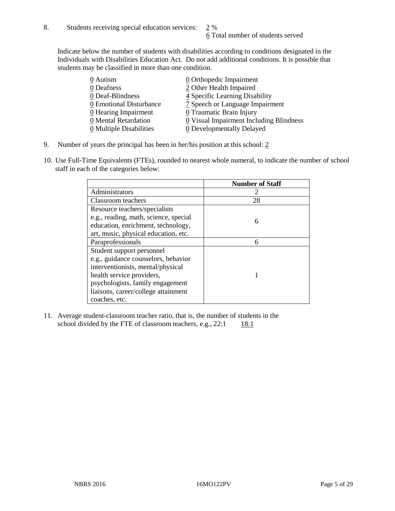Indicate below the number of students with disabilities according to conditions designated in the Individuals with Disabilities Education Act. Do not add additional conditions. It is possible that students may be classified in more than one condition.

| 0 Autism                              | 0 Orthopedic Impairment                 |
|---------------------------------------|-----------------------------------------|
| 0 Deafness                            | 2 Other Health Impaired                 |
| 0 Deaf-Blindness                      | 4 Specific Learning Disability          |
| 0 Emotional Disturbance               | 7 Speech or Language Impairment         |
| $\underline{0}$ Hearing Impairment    | 0 Traumatic Brain Injury                |
| 0 Mental Retardation                  | 0 Visual Impairment Including Blindness |
| $\underline{0}$ Multiple Disabilities | <b>0</b> Developmentally Delayed        |

- 9. Number of years the principal has been in her/his position at this school: 2
- 10. Use Full-Time Equivalents (FTEs), rounded to nearest whole numeral, to indicate the number of school staff in each of the categories below:

|                                       | <b>Number of Staff</b> |
|---------------------------------------|------------------------|
| Administrators                        |                        |
| Classroom teachers                    | 28                     |
| Resource teachers/specialists         |                        |
| e.g., reading, math, science, special | 6                      |
| education, enrichment, technology,    |                        |
| art, music, physical education, etc.  |                        |
| Paraprofessionals                     | 6                      |
| Student support personnel             |                        |
| e.g., guidance counselors, behavior   |                        |
| interventionists, mental/physical     |                        |
| health service providers,             |                        |
| psychologists, family engagement      |                        |
| liaisons, career/college attainment   |                        |
| coaches, etc.                         |                        |

11. Average student-classroom teacher ratio, that is, the number of students in the school divided by the FTE of classroom teachers, e.g.,  $22:1$  18:1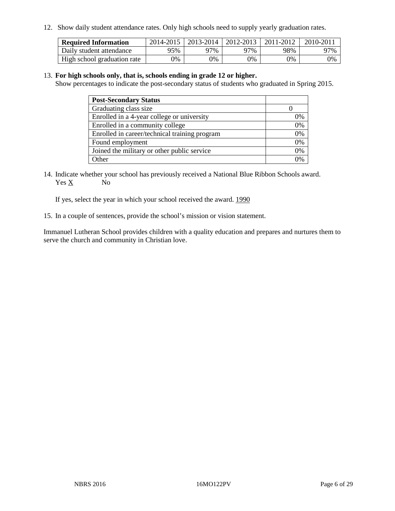12. Show daily student attendance rates. Only high schools need to supply yearly graduation rates.

| <b>Required Information</b> | 2014-2015 | 2013-2014   2012-2013 |       | 2011-2012 | 2010-2011 |
|-----------------------------|-----------|-----------------------|-------|-----------|-----------|
| Daily student attendance    | 95%       | 97%                   | 97%   | 98%       | 97%       |
| High school graduation rate | 0%        | 0%                    | $9\%$ | 9%        | 0%        |

#### 13. **For high schools only, that is, schools ending in grade 12 or higher.**

Show percentages to indicate the post-secondary status of students who graduated in Spring 2015.

| <b>Post-Secondary Status</b>                  |    |
|-----------------------------------------------|----|
| Graduating class size                         |    |
| Enrolled in a 4-year college or university    | 0% |
| Enrolled in a community college               | 0% |
| Enrolled in career/technical training program | 0% |
| Found employment                              | 0% |
| Joined the military or other public service   | 0% |
| Other                                         |    |

14. Indicate whether your school has previously received a National Blue Ribbon Schools award. Yes X No

If yes, select the year in which your school received the award. 1990

15. In a couple of sentences, provide the school's mission or vision statement.

Immanuel Lutheran School provides children with a quality education and prepares and nurtures them to serve the church and community in Christian love.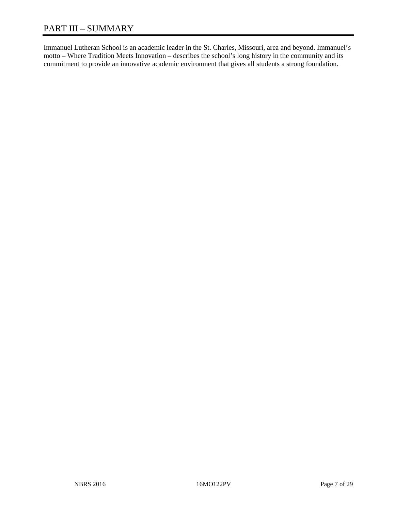# PART III – SUMMARY

Immanuel Lutheran School is an academic leader in the St. Charles, Missouri, area and beyond. Immanuel's motto – Where Tradition Meets Innovation – describes the school's long history in the community and its commitment to provide an innovative academic environment that gives all students a strong foundation.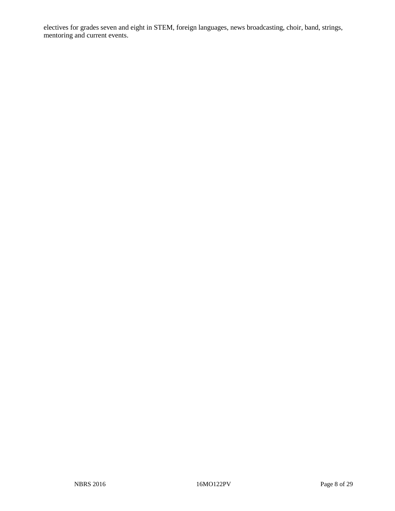electives for grades seven and eight in STEM, foreign languages, news broadcasting, choir, band, strings, mentoring and current events.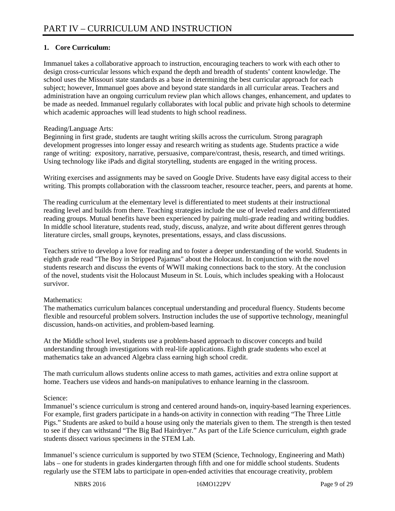# **1. Core Curriculum:**

Immanuel takes a collaborative approach to instruction, encouraging teachers to work with each other to design cross-curricular lessons which expand the depth and breadth of students' content knowledge. The school uses the Missouri state standards as a base in determining the best curricular approach for each subject; however, Immanuel goes above and beyond state standards in all curricular areas. Teachers and administration have an ongoing curriculum review plan which allows changes, enhancement, and updates to be made as needed. Immanuel regularly collaborates with local public and private high schools to determine which academic approaches will lead students to high school readiness.

#### Reading/Language Arts:

Beginning in first grade, students are taught writing skills across the curriculum. Strong paragraph development progresses into longer essay and research writing as students age. Students practice a wide range of writing: expository, narrative, persuasive, compare/contrast, thesis, research, and timed writings. Using technology like iPads and digital storytelling, students are engaged in the writing process.

Writing exercises and assignments may be saved on Google Drive. Students have easy digital access to their writing. This prompts collaboration with the classroom teacher, resource teacher, peers, and parents at home.

The reading curriculum at the elementary level is differentiated to meet students at their instructional reading level and builds from there. Teaching strategies include the use of leveled readers and differentiated reading groups. Mutual benefits have been experienced by pairing multi-grade reading and writing buddies. In middle school literature, students read, study, discuss, analyze, and write about different genres through literature circles, small groups, keynotes, presentations, essays, and class discussions.

Teachers strive to develop a love for reading and to foster a deeper understanding of the world. Students in eighth grade read "The Boy in Stripped Pajamas" about the Holocaust. In conjunction with the novel students research and discuss the events of WWII making connections back to the story. At the conclusion of the novel, students visit the Holocaust Museum in St. Louis, which includes speaking with a Holocaust survivor.

#### Mathematics:

The mathematics curriculum balances conceptual understanding and procedural fluency. Students become flexible and resourceful problem solvers. Instruction includes the use of supportive technology, meaningful discussion, hands-on activities, and problem-based learning.

At the Middle school level, students use a problem-based approach to discover concepts and build understanding through investigations with real-life applications. Eighth grade students who excel at mathematics take an advanced Algebra class earning high school credit.

The math curriculum allows students online access to math games, activities and extra online support at home. Teachers use videos and hands-on manipulatives to enhance learning in the classroom.

#### Science:

Immanuel's science curriculum is strong and centered around hands-on, inquiry-based learning experiences. For example, first graders participate in a hands-on activity in connection with reading "The Three Little Pigs." Students are asked to build a house using only the materials given to them. The strength is then tested to see if they can withstand "The Big Bad Hairdryer." As part of the Life Science curriculum, eighth grade students dissect various specimens in the STEM Lab.

Immanuel's science curriculum is supported by two STEM (Science, Technology, Engineering and Math) labs – one for students in grades kindergarten through fifth and one for middle school students. Students regularly use the STEM labs to participate in open-ended activities that encourage creativity, problem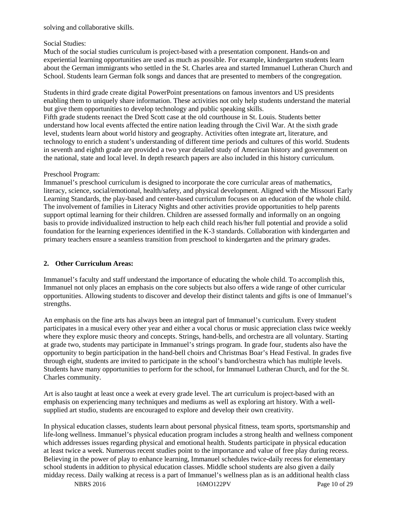solving and collaborative skills.

#### Social Studies:

Much of the social studies curriculum is project-based with a presentation component. Hands-on and experiential learning opportunities are used as much as possible. For example, kindergarten students learn about the German immigrants who settled in the St. Charles area and started Immanuel Lutheran Church and School. Students learn German folk songs and dances that are presented to members of the congregation.

Students in third grade create digital PowerPoint presentations on famous inventors and US presidents enabling them to uniquely share information. These activities not only help students understand the material but give them opportunities to develop technology and public speaking skills.

Fifth grade students reenact the Dred Scott case at the old courthouse in St. Louis. Students better understand how local events affected the entire nation leading through the Civil War. At the sixth grade level, students learn about world history and geography. Activities often integrate art, literature, and technology to enrich a student's understanding of different time periods and cultures of this world. Students in seventh and eighth grade are provided a two year detailed study of American history and government on the national, state and local level. In depth research papers are also included in this history curriculum.

#### Preschool Program:

Immanuel's preschool curriculum is designed to incorporate the core curricular areas of mathematics, literacy, science, social/emotional, health/safety, and physical development. Aligned with the Missouri Early Learning Standards, the play-based and center-based curriculum focuses on an education of the whole child. The involvement of families in Literacy Nights and other activities provide opportunities to help parents support optimal learning for their children. Children are assessed formally and informally on an ongoing basis to provide individualized instruction to help each child reach his/her full potential and provide a solid foundation for the learning experiences identified in the K-3 standards. Collaboration with kindergarten and primary teachers ensure a seamless transition from preschool to kindergarten and the primary grades.

#### **2. Other Curriculum Areas:**

Immanuel's faculty and staff understand the importance of educating the whole child. To accomplish this, Immanuel not only places an emphasis on the core subjects but also offers a wide range of other curricular opportunities. Allowing students to discover and develop their distinct talents and gifts is one of Immanuel's strengths.

An emphasis on the fine arts has always been an integral part of Immanuel's curriculum. Every student participates in a musical every other year and either a vocal chorus or music appreciation class twice weekly where they explore music theory and concepts. Strings, hand-bells, and orchestra are all voluntary. Starting at grade two, students may participate in Immanuel's strings program. In grade four, students also have the opportunity to begin participation in the hand-bell choirs and Christmas Boar's Head Festival. In grades five through eight, students are invited to participate in the school's band/orchestra which has multiple levels. Students have many opportunities to perform for the school, for Immanuel Lutheran Church, and for the St. Charles community.

Art is also taught at least once a week at every grade level. The art curriculum is project-based with an emphasis on experiencing many techniques and mediums as well as exploring art history. With a wellsupplied art studio, students are encouraged to explore and develop their own creativity.

In physical education classes, students learn about personal physical fitness, team sports, sportsmanship and life-long wellness. Immanuel's physical education program includes a strong health and wellness component which addresses issues regarding physical and emotional health. Students participate in physical education at least twice a week. Numerous recent studies point to the importance and value of free play during recess. Believing in the power of play to enhance learning, Immanuel schedules twice-daily recess for elementary school students in addition to physical education classes. Middle school students are also given a daily midday recess. Daily walking at recess is a part of Immanuel's wellness plan as is an additional health class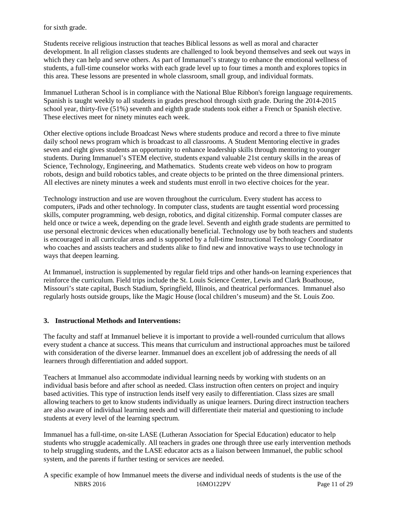for sixth grade.

Students receive religious instruction that teaches Biblical lessons as well as moral and character development. In all religion classes students are challenged to look beyond themselves and seek out ways in which they can help and serve others. As part of Immanuel's strategy to enhance the emotional wellness of students, a full-time counselor works with each grade level up to four times a month and explores topics in this area. These lessons are presented in whole classroom, small group, and individual formats.

Immanuel Lutheran School is in compliance with the National Blue Ribbon's foreign language requirements. Spanish is taught weekly to all students in grades preschool through sixth grade. During the 2014-2015 school year, thirty-five (51%) seventh and eighth grade students took either a French or Spanish elective. These electives meet for ninety minutes each week.

Other elective options include Broadcast News where students produce and record a three to five minute daily school news program which is broadcast to all classrooms. A Student Mentoring elective in grades seven and eight gives students an opportunity to enhance leadership skills through mentoring to younger students. During Immanuel's STEM elective, students expand valuable 21st century skills in the areas of Science, Technology, Engineering, and Mathematics. Students create web videos on how to program robots, design and build robotics tables, and create objects to be printed on the three dimensional printers. All electives are ninety minutes a week and students must enroll in two elective choices for the year.

Technology instruction and use are woven throughout the curriculum. Every student has access to computers, iPads and other technology. In computer class, students are taught essential word processing skills, computer programming, web design, robotics, and digital citizenship. Formal computer classes are held once or twice a week, depending on the grade level. Seventh and eighth grade students are permitted to use personal electronic devices when educationally beneficial. Technology use by both teachers and students is encouraged in all curricular areas and is supported by a full-time Instructional Technology Coordinator who coaches and assists teachers and students alike to find new and innovative ways to use technology in ways that deepen learning.

At Immanuel, instruction is supplemented by regular field trips and other hands-on learning experiences that reinforce the curriculum. Field trips include the St. Louis Science Center, Lewis and Clark Boathouse, Missouri's state capital, Busch Stadium, Springfield, Illinois, and theatrical performances. Immanuel also regularly hosts outside groups, like the Magic House (local children's museum) and the St. Louis Zoo.

#### **3. Instructional Methods and Interventions:**

The faculty and staff at Immanuel believe it is important to provide a well-rounded curriculum that allows every student a chance at success. This means that curriculum and instructional approaches must be tailored with consideration of the diverse learner. Immanuel does an excellent job of addressing the needs of all learners through differentiation and added support.

Teachers at Immanuel also accommodate individual learning needs by working with students on an individual basis before and after school as needed. Class instruction often centers on project and inquiry based activities. This type of instruction lends itself very easily to differentiation. Class sizes are small allowing teachers to get to know students individually as unique learners. During direct instruction teachers are also aware of individual learning needs and will differentiate their material and questioning to include students at every level of the learning spectrum.

Immanuel has a full-time, on-site LASE (Lutheran Association for Special Education) educator to help students who struggle academically. All teachers in grades one through three use early intervention methods to help struggling students, and the LASE educator acts as a liaison between Immanuel, the public school system, and the parents if further testing or services are needed.

NBRS 2016 16MO122PV Page 11 of 29 A specific example of how Immanuel meets the diverse and individual needs of students is the use of the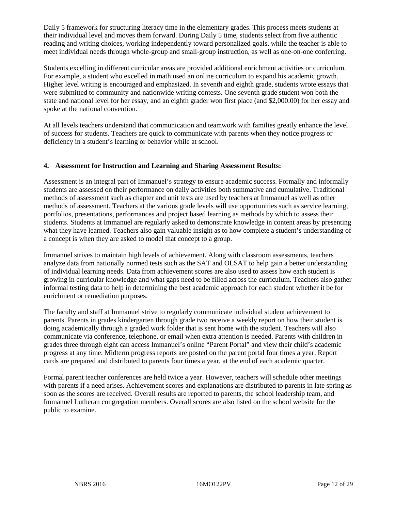Daily 5 framework for structuring literacy time in the elementary grades. This process meets students at their individual level and moves them forward. During Daily 5 time, students select from five authentic reading and writing choices, working independently toward personalized goals, while the teacher is able to meet individual needs through whole-group and small-group instruction, as well as one-on-one conferring.

Students excelling in different curricular areas are provided additional enrichment activities or curriculum. For example, a student who excelled in math used an online curriculum to expand his academic growth. Higher level writing is encouraged and emphasized. In seventh and eighth grade, students wrote essays that were submitted to community and nationwide writing contests. One seventh grade student won both the state and national level for her essay, and an eighth grader won first place (and \$2,000.00) for her essay and spoke at the national convention.

At all levels teachers understand that communication and teamwork with families greatly enhance the level of success for students. Teachers are quick to communicate with parents when they notice progress or deficiency in a student's learning or behavior while at school.

#### **4. Assessment for Instruction and Learning and Sharing Assessment Results:**

Assessment is an integral part of Immanuel's strategy to ensure academic success. Formally and informally students are assessed on their performance on daily activities both summative and cumulative. Traditional methods of assessment such as chapter and unit tests are used by teachers at Immanuel as well as other methods of assessment. Teachers at the various grade levels will use opportunities such as service learning, portfolios, presentations, performances and project based learning as methods by which to assess their students. Students at Immanuel are regularly asked to demonstrate knowledge in content areas by presenting what they have learned. Teachers also gain valuable insight as to how complete a student's understanding of a concept is when they are asked to model that concept to a group.

Immanuel strives to maintain high levels of achievement. Along with classroom assessments, teachers analyze data from nationally normed tests such as the SAT and OLSAT to help gain a better understanding of individual learning needs. Data from achievement scores are also used to assess how each student is growing in curricular knowledge and what gaps need to be filled across the curriculum. Teachers also gather informal testing data to help in determining the best academic approach for each student whether it be for enrichment or remediation purposes.

The faculty and staff at Immanuel strive to regularly communicate individual student achievement to parents. Parents in grades kindergarten through grade two receive a weekly report on how their student is doing academically through a graded work folder that is sent home with the student. Teachers will also communicate via conference, telephone, or email when extra attention is needed. Parents with children in grades three through eight can access Immanuel's online "Parent Portal" and view their child's academic progress at any time. Midterm progress reports are posted on the parent portal four times a year. Report cards are prepared and distributed to parents four times a year, at the end of each academic quarter.

Formal parent teacher conferences are held twice a year. However, teachers will schedule other meetings with parents if a need arises. Achievement scores and explanations are distributed to parents in late spring as soon as the scores are received. Overall results are reported to parents, the school leadership team, and Immanuel Lutheran congregation members. Overall scores are also listed on the school website for the public to examine.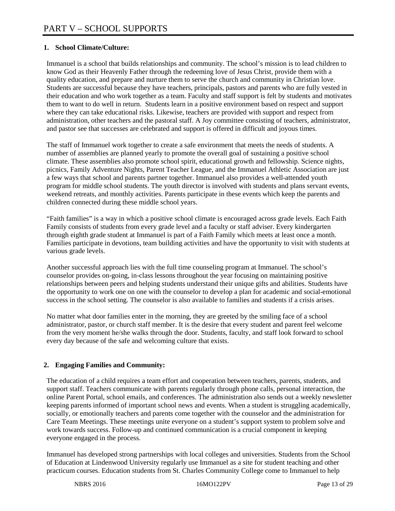# **1. School Climate/Culture:**

Immanuel is a school that builds relationships and community. The school's mission is to lead children to know God as their Heavenly Father through the redeeming love of Jesus Christ, provide them with a quality education, and prepare and nurture them to serve the church and community in Christian love. Students are successful because they have teachers, principals, pastors and parents who are fully vested in their education and who work together as a team. Faculty and staff support is felt by students and motivates them to want to do well in return. Students learn in a positive environment based on respect and support where they can take educational risks. Likewise, teachers are provided with support and respect from administration, other teachers and the pastoral staff. A Joy committee consisting of teachers, administrator, and pastor see that successes are celebrated and support is offered in difficult and joyous times.

The staff of Immanuel work together to create a safe environment that meets the needs of students. A number of assemblies are planned yearly to promote the overall goal of sustaining a positive school climate. These assemblies also promote school spirit, educational growth and fellowship. Science nights, picnics, Family Adventure Nights, Parent Teacher League, and the Immanuel Athletic Association are just a few ways that school and parents partner together. Immanuel also provides a well-attended youth program for middle school students. The youth director is involved with students and plans servant events, weekend retreats, and monthly activities. Parents participate in these events which keep the parents and children connected during these middle school years.

"Faith families" is a way in which a positive school climate is encouraged across grade levels. Each Faith Family consists of students from every grade level and a faculty or staff adviser. Every kindergarten through eighth grade student at Immanuel is part of a Faith Family which meets at least once a month. Families participate in devotions, team building activities and have the opportunity to visit with students at various grade levels.

Another successful approach lies with the full time counseling program at Immanuel. The school's counselor provides on-going, in-class lessons throughout the year focusing on maintaining positive relationships between peers and helping students understand their unique gifts and abilities. Students have the opportunity to work one on one with the counselor to develop a plan for academic and social-emotional success in the school setting. The counselor is also available to families and students if a crisis arises.

No matter what door families enter in the morning, they are greeted by the smiling face of a school administrator, pastor, or church staff member. It is the desire that every student and parent feel welcome from the very moment he/she walks through the door. Students, faculty, and staff look forward to school every day because of the safe and welcoming culture that exists.

#### **2. Engaging Families and Community:**

The education of a child requires a team effort and cooperation between teachers, parents, students, and support staff. Teachers communicate with parents regularly through phone calls, personal interaction, the online Parent Portal, school emails, and conferences. The administration also sends out a weekly newsletter keeping parents informed of important school news and events. When a student is struggling academically, socially, or emotionally teachers and parents come together with the counselor and the administration for Care Team Meetings. These meetings unite everyone on a student's support system to problem solve and work towards success. Follow-up and continued communication is a crucial component in keeping everyone engaged in the process.

Immanuel has developed strong partnerships with local colleges and universities. Students from the School of Education at Lindenwood University regularly use Immanuel as a site for student teaching and other practicum courses. Education students from St. Charles Community College come to Immanuel to help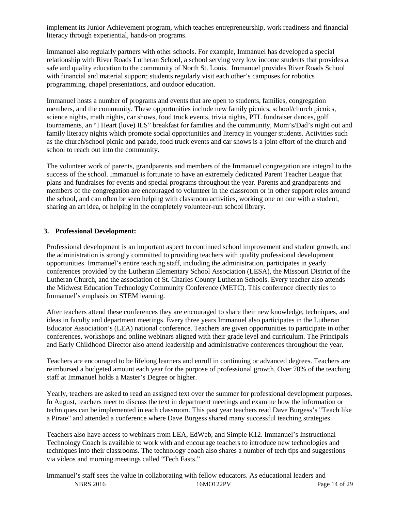implement its Junior Achievement program, which teaches entrepreneurship, work readiness and financial literacy through experiential, hands-on programs.

Immanuel also regularly partners with other schools. For example, Immanuel has developed a special relationship with River Roads Lutheran School, a school serving very low income students that provides a safe and quality education to the community of North St. Louis. Immanuel provides River Roads School with financial and material support; students regularly visit each other's campuses for robotics programming, chapel presentations, and outdoor education.

Immanuel hosts a number of programs and events that are open to students, families, congregation members, and the community. These opportunities include new family picnics, school/church picnics, science nights, math nights, car shows, food truck events, trivia nights, PTL fundraiser dances, golf tournaments, an "I Heart (love) ILS" breakfast for families and the community, Mom's/Dad's night out and family literacy nights which promote social opportunities and literacy in younger students. Activities such as the church/school picnic and parade, food truck events and car shows is a joint effort of the church and school to reach out into the community.

The volunteer work of parents, grandparents and members of the Immanuel congregation are integral to the success of the school. Immanuel is fortunate to have an extremely dedicated Parent Teacher League that plans and fundraises for events and special programs throughout the year. Parents and grandparents and members of the congregation are encouraged to volunteer in the classroom or in other support roles around the school, and can often be seen helping with classroom activities, working one on one with a student, sharing an art idea, or helping in the completely volunteer-run school library.

#### **3. Professional Development:**

Professional development is an important aspect to continued school improvement and student growth, and the administration is strongly committed to providing teachers with quality professional development opportunities. Immanuel's entire teaching staff, including the administration, participates in yearly conferences provided by the Lutheran Elementary School Association (LESA), the Missouri District of the Lutheran Church, and the association of St. Charles County Lutheran Schools. Every teacher also attends the Midwest Education Technology Community Conference (METC). This conference directly ties to Immanuel's emphasis on STEM learning.

After teachers attend these conferences they are encouraged to share their new knowledge, techniques, and ideas in faculty and department meetings. Every three years Immanuel also participates in the Lutheran Educator Association's (LEA) national conference. Teachers are given opportunities to participate in other conferences, workshops and online webinars aligned with their grade level and curriculum. The Principals and Early Childhood Director also attend leadership and administrative conferences throughout the year.

Teachers are encouraged to be lifelong learners and enroll in continuing or advanced degrees. Teachers are reimbursed a budgeted amount each year for the purpose of professional growth. Over 70% of the teaching staff at Immanuel holds a Master's Degree or higher.

Yearly, teachers are asked to read an assigned text over the summer for professional development purposes. In August, teachers meet to discuss the text in department meetings and examine how the information or techniques can be implemented in each classroom. This past year teachers read Dave Burgess's "Teach like a Pirate" and attended a conference where Dave Burgess shared many successful teaching strategies.

Teachers also have access to webinars from LEA, EdWeb, and Simple K12. Immanuel's Instructional Technology Coach is available to work with and encourage teachers to introduce new technologies and techniques into their classrooms. The technology coach also shares a number of tech tips and suggestions via videos and morning meetings called "Tech Fasts."

NBRS 2016 16MO122PV Page 14 of 29 Immanuel's staff sees the value in collaborating with fellow educators. As educational leaders and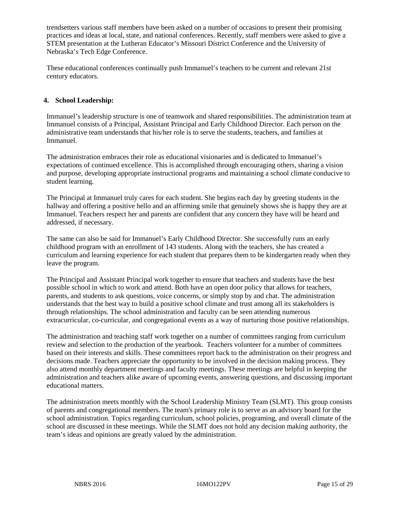trendsetters various staff members have been asked on a number of occasions to present their promising practices and ideas at local, state, and national conferences. Recently, staff members were asked to give a STEM presentation at the Lutheran Educator's Missouri District Conference and the University of Nebraska's Tech Edge Conference.

These educational conferences continually push Immanuel's teachers to be current and relevant 21st century educators.

#### **4. School Leadership:**

Immanuel's leadership structure is one of teamwork and shared responsibilities. The administration team at Immanuel consists of a Principal, Assistant Principal and Early Childhood Director. Each person on the administrative team understands that his/her role is to serve the students, teachers, and families at Immanuel.

The administration embraces their role as educational visionaries and is dedicated to Immanuel's expectations of continued excellence. This is accomplished through encouraging others, sharing a vision and purpose, developing appropriate instructional programs and maintaining a school climate conducive to student learning.

The Principal at Immanuel truly cares for each student. She begins each day by greeting students in the hallway and offering a positive hello and an affirming smile that genuinely shows she is happy they are at Immanuel. Teachers respect her and parents are confident that any concern they have will be heard and addressed, if necessary.

The same can also be said for Immanuel's Early Childhood Director. She successfully runs an early childhood program with an enrollment of 143 students. Along with the teachers, she has created a curriculum and learning experience for each student that prepares them to be kindergarten ready when they leave the program.

The Principal and Assistant Principal work together to ensure that teachers and students have the best possible school in which to work and attend. Both have an open door policy that allows for teachers, parents, and students to ask questions, voice concerns, or simply stop by and chat. The administration understands that the best way to build a positive school climate and trust among all its stakeholders is through relationships. The school administration and faculty can be seen attending numerous extracurricular, co-curricular, and congregational events as a way of nurturing those positive relationships.

The administration and teaching staff work together on a number of committees ranging from curriculum review and selection to the production of the yearbook. Teachers volunteer for a number of committees based on their interests and skills. These committees report back to the administration on their progress and decisions made. Teachers appreciate the opportunity to be involved in the decision making process. They also attend monthly department meetings and faculty meetings. These meetings are helpful in keeping the administration and teachers alike aware of upcoming events, answering questions, and discussing important educational matters.

The administration meets monthly with the School Leadership Ministry Team (SLMT). This group consists of parents and congregational members. The team's primary role is to serve as an advisory board for the school administration. Topics regarding curriculum, school policies, programing, and overall climate of the school are discussed in these meetings. While the SLMT does not hold any decision making authority, the team's ideas and opinions are greatly valued by the administration.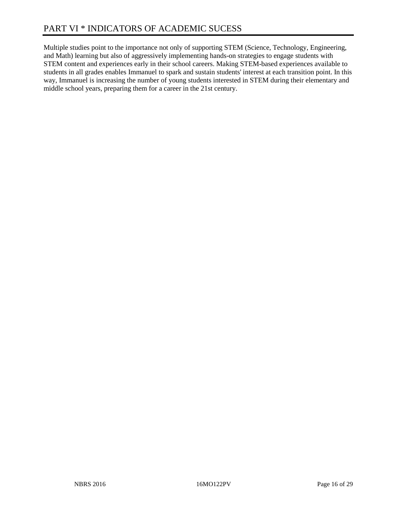Multiple studies point to the importance not only of supporting STEM (Science, Technology, Engineering, and Math) learning but also of aggressively implementing hands-on strategies to engage students with STEM content and experiences early in their school careers. Making STEM-based experiences available to students in all grades enables Immanuel to spark and sustain students' interest at each transition point. In this way, Immanuel is increasing the number of young students interested in STEM during their elementary and middle school years, preparing them for a career in the 21st century.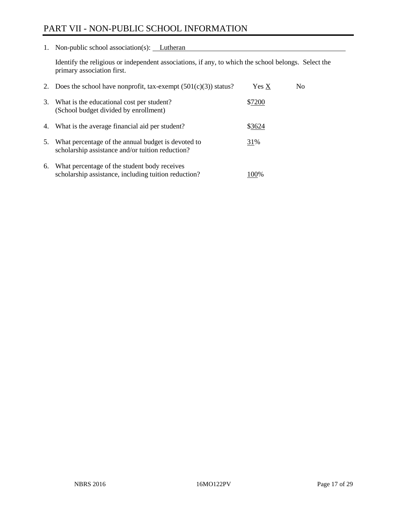# PART VII - NON-PUBLIC SCHOOL INFORMATION

1. Non-public school association(s): Lutheran

Identify the religious or independent associations, if any, to which the school belongs. Select the primary association first.

| 2. | Does the school have nonprofit, tax-exempt $(501(c)(3))$ status?                                       | Yes X  | No. |
|----|--------------------------------------------------------------------------------------------------------|--------|-----|
| 3. | What is the educational cost per student?<br>(School budget divided by enrollment)                     | \$7200 |     |
| 4. | What is the average financial aid per student?                                                         | \$3624 |     |
| 5. | What percentage of the annual budget is devoted to<br>scholarship assistance and/or tuition reduction? | 31%    |     |
| 6. | What percentage of the student body receives<br>scholarship assistance, including tuition reduction?   | 100%   |     |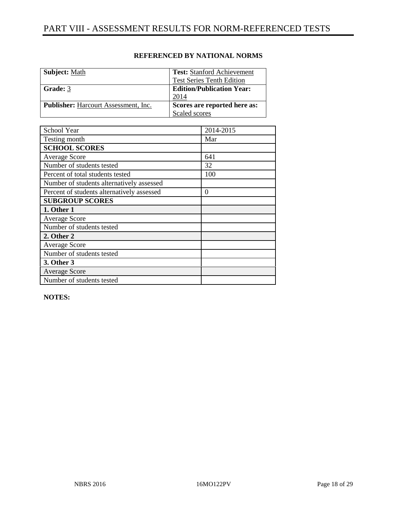| <b>Subject:</b> Math                        | <b>Test:</b> Stanford Achievement |
|---------------------------------------------|-----------------------------------|
|                                             | <b>Test Series Tenth Edition</b>  |
| Grade: 3                                    | <b>Edition/Publication Year:</b>  |
|                                             | 2014                              |
| <b>Publisher:</b> Harcourt Assessment, Inc. | Scores are reported here as:      |
|                                             | Scaled scores                     |

| School Year                                | 2014-2015 |
|--------------------------------------------|-----------|
| Testing month                              | Mar       |
| <b>SCHOOL SCORES</b>                       |           |
| <b>Average Score</b>                       | 641       |
| Number of students tested                  | 32        |
| Percent of total students tested           | 100       |
| Number of students alternatively assessed  |           |
| Percent of students alternatively assessed | 0         |
| <b>SUBGROUP SCORES</b>                     |           |
| 1. Other 1                                 |           |
| <b>Average Score</b>                       |           |
| Number of students tested                  |           |
| 2. Other 2                                 |           |
| <b>Average Score</b>                       |           |
| Number of students tested                  |           |
| 3. Other 3                                 |           |
| <b>Average Score</b>                       |           |
| Number of students tested                  |           |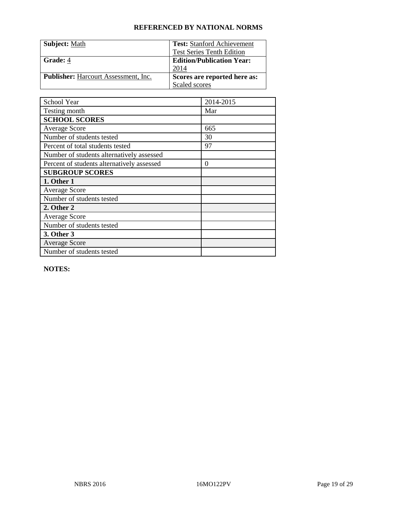| Subject: Math                               | <b>Test:</b> Stanford Achievement |
|---------------------------------------------|-----------------------------------|
|                                             | <b>Test Series Tenth Edition</b>  |
| Grade: 4                                    | <b>Edition/Publication Year:</b>  |
|                                             | 2014                              |
| <b>Publisher:</b> Harcourt Assessment, Inc. | Scores are reported here as:      |
|                                             | Scaled scores                     |

| School Year                                | 2014-2015 |
|--------------------------------------------|-----------|
| Testing month                              | Mar       |
| <b>SCHOOL SCORES</b>                       |           |
| <b>Average Score</b>                       | 665       |
| Number of students tested                  | 30        |
| Percent of total students tested           | 97        |
| Number of students alternatively assessed  |           |
| Percent of students alternatively assessed | $\theta$  |
| <b>SUBGROUP SCORES</b>                     |           |
| 1. Other 1                                 |           |
| <b>Average Score</b>                       |           |
| Number of students tested                  |           |
| 2. Other 2                                 |           |
| <b>Average Score</b>                       |           |
| Number of students tested                  |           |
| 3. Other 3                                 |           |
| <b>Average Score</b>                       |           |
| Number of students tested                  |           |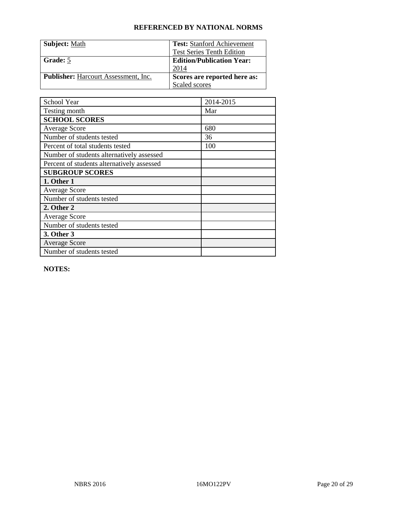| <b>Subject: Math</b>                        | <b>Test:</b> Stanford Achievement |
|---------------------------------------------|-----------------------------------|
|                                             | <b>Test Series Tenth Edition</b>  |
| Grade: 5                                    | <b>Edition/Publication Year:</b>  |
|                                             | 2014                              |
| <b>Publisher:</b> Harcourt Assessment, Inc. | Scores are reported here as:      |
|                                             | Scaled scores                     |

| School Year                                | 2014-2015 |
|--------------------------------------------|-----------|
| Testing month                              | Mar       |
| <b>SCHOOL SCORES</b>                       |           |
| <b>Average Score</b>                       | 680       |
| Number of students tested                  | 36        |
| Percent of total students tested           | 100       |
| Number of students alternatively assessed  |           |
| Percent of students alternatively assessed |           |
| <b>SUBGROUP SCORES</b>                     |           |
| 1. Other 1                                 |           |
| <b>Average Score</b>                       |           |
| Number of students tested                  |           |
| 2. Other 2                                 |           |
| <b>Average Score</b>                       |           |
| Number of students tested                  |           |
| 3. Other 3                                 |           |
| <b>Average Score</b>                       |           |
| Number of students tested                  |           |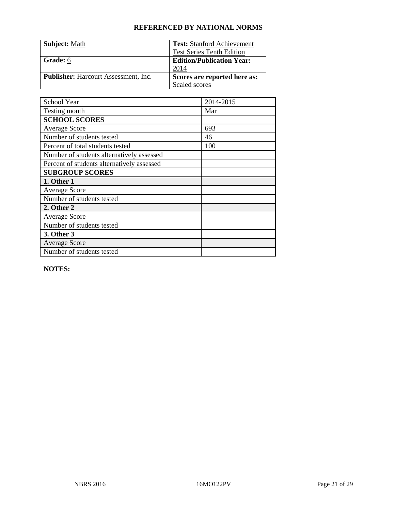| <b>Subject: Math</b>                        | <b>Test:</b> Stanford Achievement |
|---------------------------------------------|-----------------------------------|
|                                             | <b>Test Series Tenth Edition</b>  |
| Grade: 6                                    | <b>Edition/Publication Year:</b>  |
|                                             | 2014                              |
| <b>Publisher:</b> Harcourt Assessment, Inc. | Scores are reported here as:      |
|                                             | Scaled scores                     |

| School Year                                | 2014-2015 |
|--------------------------------------------|-----------|
| Testing month                              | Mar       |
| <b>SCHOOL SCORES</b>                       |           |
| <b>Average Score</b>                       | 693       |
| Number of students tested                  | 46        |
| Percent of total students tested           | 100       |
| Number of students alternatively assessed  |           |
| Percent of students alternatively assessed |           |
| <b>SUBGROUP SCORES</b>                     |           |
| 1. Other 1                                 |           |
| <b>Average Score</b>                       |           |
| Number of students tested                  |           |
| 2. Other 2                                 |           |
| <b>Average Score</b>                       |           |
| Number of students tested                  |           |
| 3. Other 3                                 |           |
| <b>Average Score</b>                       |           |
| Number of students tested                  |           |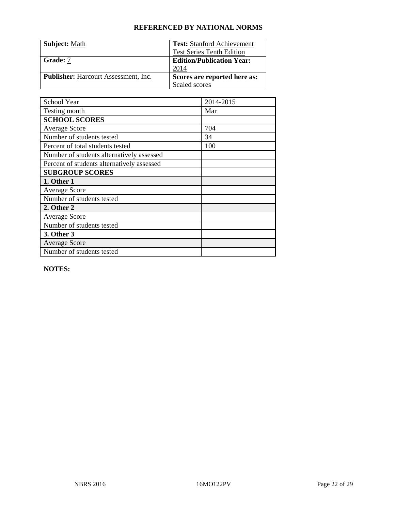| <b>Subject: Math</b>                        | <b>Test:</b> Stanford Achievement |
|---------------------------------------------|-----------------------------------|
|                                             | <b>Test Series Tenth Edition</b>  |
| Grade: 7                                    | <b>Edition/Publication Year:</b>  |
|                                             | 2014                              |
| <b>Publisher:</b> Harcourt Assessment, Inc. | Scores are reported here as:      |
|                                             | Scaled scores                     |

| School Year                                | 2014-2015 |
|--------------------------------------------|-----------|
| Testing month                              | Mar       |
| <b>SCHOOL SCORES</b>                       |           |
| <b>Average Score</b>                       | 704       |
| Number of students tested                  | 34        |
| Percent of total students tested           | 100       |
| Number of students alternatively assessed  |           |
| Percent of students alternatively assessed |           |
| <b>SUBGROUP SCORES</b>                     |           |
| 1. Other 1                                 |           |
| <b>Average Score</b>                       |           |
| Number of students tested                  |           |
| 2. Other 2                                 |           |
| <b>Average Score</b>                       |           |
| Number of students tested                  |           |
| 3. Other 3                                 |           |
| <b>Average Score</b>                       |           |
| Number of students tested                  |           |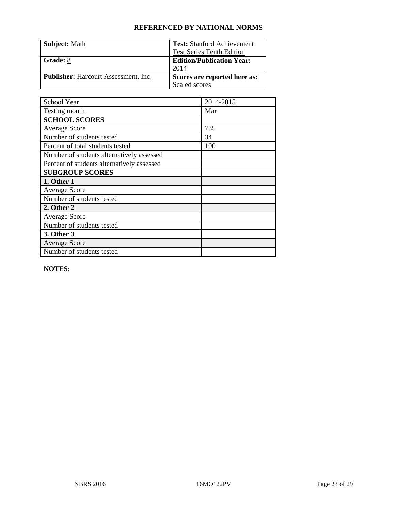| <b>Subject: Math</b>                        | <b>Test:</b> Stanford Achievement |
|---------------------------------------------|-----------------------------------|
|                                             | <b>Test Series Tenth Edition</b>  |
| Grade: 8                                    | <b>Edition/Publication Year:</b>  |
|                                             | 2014                              |
| <b>Publisher:</b> Harcourt Assessment, Inc. | Scores are reported here as:      |
|                                             | Scaled scores                     |

| School Year                                | 2014-2015 |
|--------------------------------------------|-----------|
| Testing month                              | Mar       |
| <b>SCHOOL SCORES</b>                       |           |
| <b>Average Score</b>                       | 735       |
| Number of students tested                  | 34        |
| Percent of total students tested           | 100       |
| Number of students alternatively assessed  |           |
| Percent of students alternatively assessed |           |
| <b>SUBGROUP SCORES</b>                     |           |
| 1. Other 1                                 |           |
| <b>Average Score</b>                       |           |
| Number of students tested                  |           |
| 2. Other 2                                 |           |
| <b>Average Score</b>                       |           |
| Number of students tested                  |           |
| 3. Other 3                                 |           |
| <b>Average Score</b>                       |           |
| Number of students tested                  |           |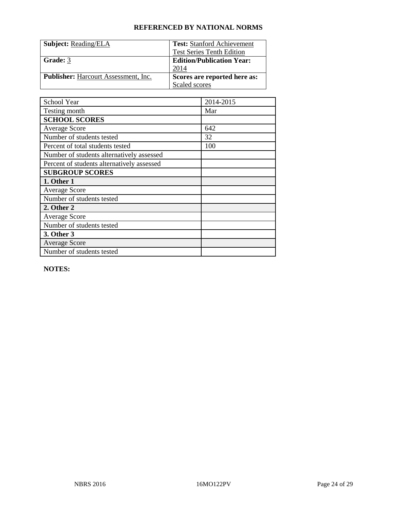| <b>Subject: Reading/ELA</b>                 | <b>Test:</b> Stanford Achievement |
|---------------------------------------------|-----------------------------------|
|                                             | <b>Test Series Tenth Edition</b>  |
| Grade: 3                                    | <b>Edition/Publication Year:</b>  |
|                                             | 2014                              |
| <b>Publisher:</b> Harcourt Assessment, Inc. | Scores are reported here as:      |
|                                             | Scaled scores                     |

| School Year                                | 2014-2015 |
|--------------------------------------------|-----------|
| Testing month                              | Mar       |
| <b>SCHOOL SCORES</b>                       |           |
| <b>Average Score</b>                       | 642       |
| Number of students tested                  | 32        |
| Percent of total students tested           | 100       |
| Number of students alternatively assessed  |           |
| Percent of students alternatively assessed |           |
| <b>SUBGROUP SCORES</b>                     |           |
| 1. Other 1                                 |           |
| <b>Average Score</b>                       |           |
| Number of students tested                  |           |
| 2. Other 2                                 |           |
| <b>Average Score</b>                       |           |
| Number of students tested                  |           |
| 3. Other 3                                 |           |
| <b>Average Score</b>                       |           |
| Number of students tested                  |           |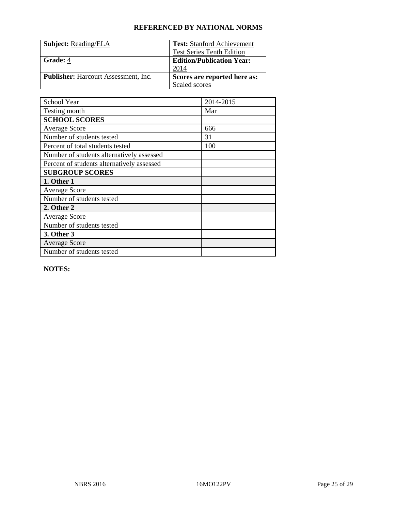| <b>Subject: Reading/ELA</b>                 | <b>Test:</b> Stanford Achievement |
|---------------------------------------------|-----------------------------------|
|                                             | <b>Test Series Tenth Edition</b>  |
| Grade: 4                                    | <b>Edition/Publication Year:</b>  |
|                                             | 2014                              |
| <b>Publisher:</b> Harcourt Assessment, Inc. | Scores are reported here as:      |
|                                             | Scaled scores                     |

| School Year                                | 2014-2015 |
|--------------------------------------------|-----------|
| Testing month                              | Mar       |
| <b>SCHOOL SCORES</b>                       |           |
| <b>Average Score</b>                       | 666       |
| Number of students tested                  | 31        |
| Percent of total students tested           | 100       |
| Number of students alternatively assessed  |           |
| Percent of students alternatively assessed |           |
| <b>SUBGROUP SCORES</b>                     |           |
| 1. Other 1                                 |           |
| <b>Average Score</b>                       |           |
| Number of students tested                  |           |
| 2. Other 2                                 |           |
| <b>Average Score</b>                       |           |
| Number of students tested                  |           |
| 3. Other 3                                 |           |
| <b>Average Score</b>                       |           |
| Number of students tested                  |           |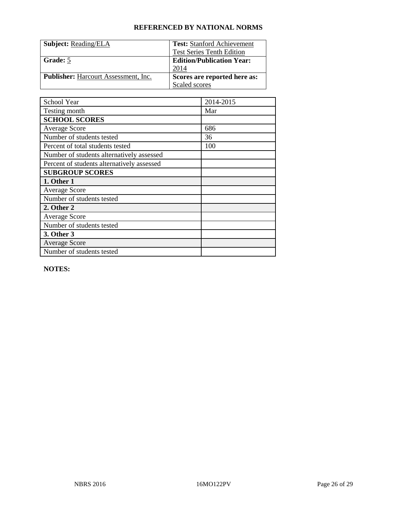| <b>Subject: Reading/ELA</b>                 | <b>Test:</b> Stanford Achievement |
|---------------------------------------------|-----------------------------------|
|                                             | <b>Test Series Tenth Edition</b>  |
| Grade: 5                                    | <b>Edition/Publication Year:</b>  |
|                                             | 2014                              |
| <b>Publisher:</b> Harcourt Assessment, Inc. | Scores are reported here as:      |
|                                             | Scaled scores                     |

| School Year                                | 2014-2015 |
|--------------------------------------------|-----------|
| Testing month                              | Mar       |
| <b>SCHOOL SCORES</b>                       |           |
| <b>Average Score</b>                       | 686       |
| Number of students tested                  | 36        |
| Percent of total students tested           | 100       |
| Number of students alternatively assessed  |           |
| Percent of students alternatively assessed |           |
| <b>SUBGROUP SCORES</b>                     |           |
| 1. Other 1                                 |           |
| <b>Average Score</b>                       |           |
| Number of students tested                  |           |
| 2. Other 2                                 |           |
| <b>Average Score</b>                       |           |
| Number of students tested                  |           |
| 3. Other 3                                 |           |
| <b>Average Score</b>                       |           |
| Number of students tested                  |           |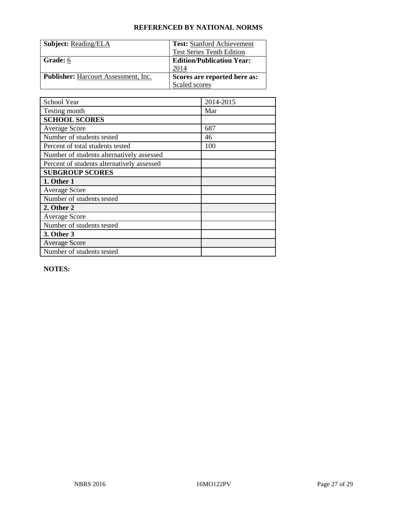| <b>Subject: Reading/ELA</b>                 | <b>Test:</b> Stanford Achievement |
|---------------------------------------------|-----------------------------------|
|                                             | <b>Test Series Tenth Edition</b>  |
| Grade: 6                                    | <b>Edition/Publication Year:</b>  |
|                                             | 2014                              |
| <b>Publisher:</b> Harcourt Assessment, Inc. | Scores are reported here as:      |
|                                             | Scaled scores                     |

| School Year                                | 2014-2015 |
|--------------------------------------------|-----------|
| Testing month                              | Mar       |
| <b>SCHOOL SCORES</b>                       |           |
| <b>Average Score</b>                       | 687       |
| Number of students tested                  | 46        |
| Percent of total students tested           | 100       |
| Number of students alternatively assessed  |           |
| Percent of students alternatively assessed |           |
| <b>SUBGROUP SCORES</b>                     |           |
| 1. Other 1                                 |           |
| <b>Average Score</b>                       |           |
| Number of students tested                  |           |
| 2. Other 2                                 |           |
| <b>Average Score</b>                       |           |
| Number of students tested                  |           |
| 3. Other 3                                 |           |
| <b>Average Score</b>                       |           |
| Number of students tested                  |           |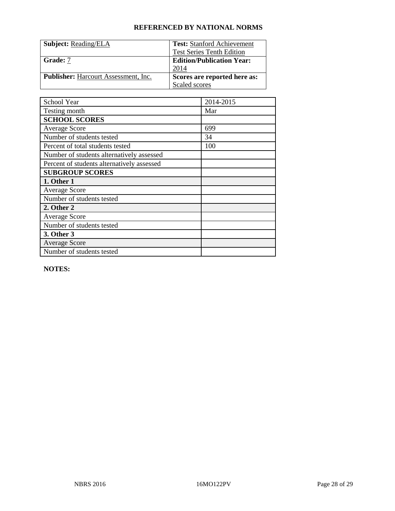| <b>Subject: Reading/ELA</b>                 | <b>Test:</b> Stanford Achievement |
|---------------------------------------------|-----------------------------------|
|                                             | <b>Test Series Tenth Edition</b>  |
| Grade: 7                                    | <b>Edition/Publication Year:</b>  |
|                                             | 2014                              |
| <b>Publisher:</b> Harcourt Assessment, Inc. | Scores are reported here as:      |
|                                             | Scaled scores                     |

| School Year                                | 2014-2015 |
|--------------------------------------------|-----------|
| Testing month                              | Mar       |
| <b>SCHOOL SCORES</b>                       |           |
| <b>Average Score</b>                       | 699       |
| Number of students tested                  | 34        |
| Percent of total students tested           | 100       |
| Number of students alternatively assessed  |           |
| Percent of students alternatively assessed |           |
| <b>SUBGROUP SCORES</b>                     |           |
| 1. Other 1                                 |           |
| <b>Average Score</b>                       |           |
| Number of students tested                  |           |
| 2. Other 2                                 |           |
| <b>Average Score</b>                       |           |
| Number of students tested                  |           |
| 3. Other 3                                 |           |
| <b>Average Score</b>                       |           |
| Number of students tested                  |           |